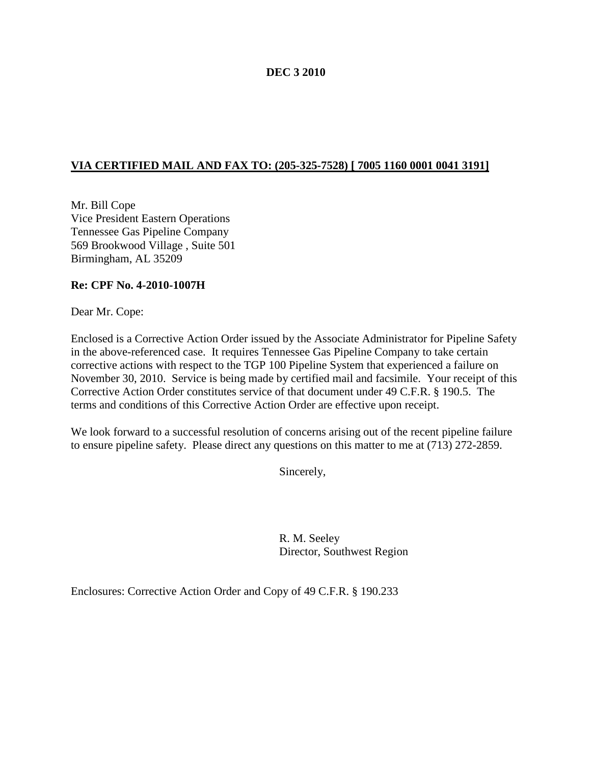## **DEC 3 2010**

## **VIA CERTIFIED MAIL AND FAX TO: (205-325-7528) [ 7005 1160 0001 0041 3191]**

Mr. Bill Cope Vice President Eastern Operations Tennessee Gas Pipeline Company 569 Brookwood Village , Suite 501 Birmingham, AL 35209

### **Re: CPF No. 4-2010-1007H**

Dear Mr. Cope:

Enclosed is a Corrective Action Order issued by the Associate Administrator for Pipeline Safety in the above-referenced case. It requires Tennessee Gas Pipeline Company to take certain corrective actions with respect to the TGP 100 Pipeline System that experienced a failure on November 30, 2010. Service is being made by certified mail and facsimile. Your receipt of this Corrective Action Order constitutes service of that document under 49 C.F.R. § 190.5. The terms and conditions of this Corrective Action Order are effective upon receipt.

We look forward to a successful resolution of concerns arising out of the recent pipeline failure to ensure pipeline safety. Please direct any questions on this matter to me at (713) 272-2859.

Sincerely,

R. M. Seeley Director, Southwest Region

Enclosures: Corrective Action Order and Copy of 49 C.F.R. § 190.233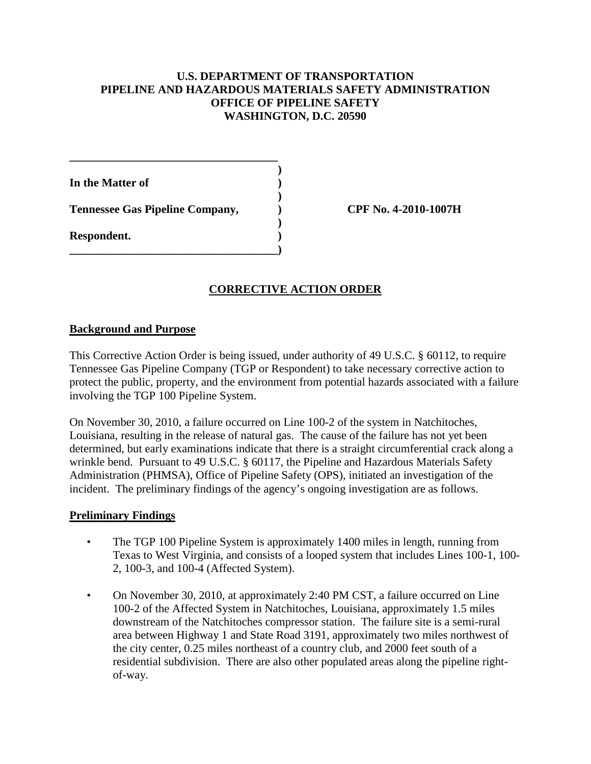## **U.S. DEPARTMENT OF TRANSPORTATION PIPELINE AND HAZARDOUS MATERIALS SAFETY ADMINISTRATION OFFICE OF PIPELINE SAFETY WASHINGTON, D.C. 20590**

| In the Matter of                       |  |
|----------------------------------------|--|
| <b>Tennessee Gas Pipeline Company,</b> |  |
| Respondent.                            |  |

**\_\_\_\_\_\_\_\_\_\_\_\_\_\_\_\_\_\_\_\_\_\_\_\_\_\_\_\_\_\_\_\_\_\_\_\_**

**Tennessee Gas Pipeline Company, ) CPF No. 4-2010-1007H**

# **CORRECTIVE ACTION ORDER**

### **Background and Purpose**

This Corrective Action Order is being issued, under authority of 49 U.S.C. § 60112, to require Tennessee Gas Pipeline Company (TGP or Respondent) to take necessary corrective action to protect the public, property, and the environment from potential hazards associated with a failure involving the TGP 100 Pipeline System.

On November 30, 2010, a failure occurred on Line 100-2 of the system in Natchitoches, Louisiana, resulting in the release of natural gas. The cause of the failure has not yet been determined, but early examinations indicate that there is a straight circumferential crack along a wrinkle bend. Pursuant to 49 U.S.C. § 60117, the Pipeline and Hazardous Materials Safety Administration (PHMSA), Office of Pipeline Safety (OPS), initiated an investigation of the incident. The preliminary findings of the agency's ongoing investigation are as follows.

#### **Preliminary Findings**

- The TGP 100 Pipeline System is approximately 1400 miles in length, running from Texas to West Virginia, and consists of a looped system that includes Lines 100-1, 100- 2, 100-3, and 100-4 (Affected System).
- On November 30, 2010, at approximately 2:40 PM CST, a failure occurred on Line 100-2 of the Affected System in Natchitoches, Louisiana, approximately 1.5 miles downstream of the Natchitoches compressor station. The failure site is a semi-rural area between Highway 1 and State Road 3191, approximately two miles northwest of the city center, 0.25 miles northeast of a country club, and 2000 feet south of a residential subdivision. There are also other populated areas along the pipeline rightof-way.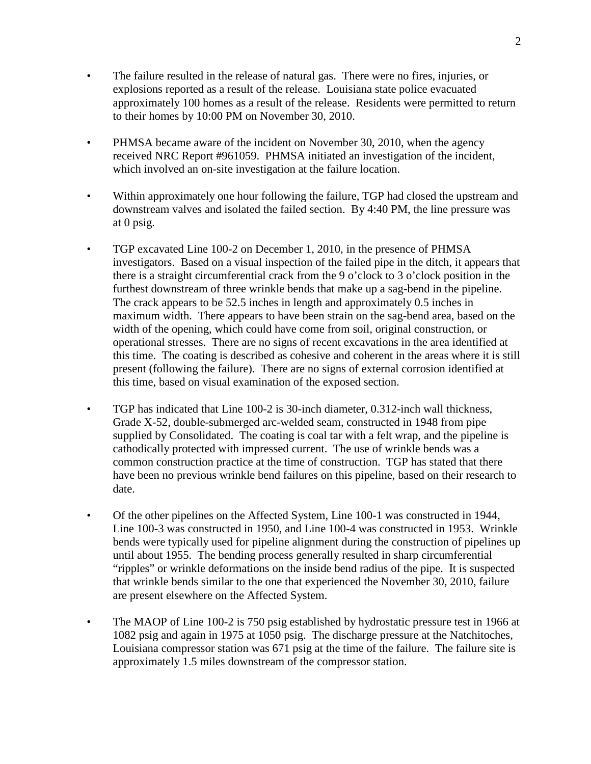- The failure resulted in the release of natural gas. There were no fires, injuries, or explosions reported as a result of the release. Louisiana state police evacuated approximately 100 homes as a result of the release. Residents were permitted to return to their homes by 10:00 PM on November 30, 2010.
- PHMSA became aware of the incident on November 30, 2010, when the agency received NRC Report #961059. PHMSA initiated an investigation of the incident, which involved an on-site investigation at the failure location.
- Within approximately one hour following the failure, TGP had closed the upstream and downstream valves and isolated the failed section. By 4:40 PM, the line pressure was at 0 psig.
- TGP excavated Line 100-2 on December 1, 2010, in the presence of PHMSA investigators. Based on a visual inspection of the failed pipe in the ditch, it appears that there is a straight circumferential crack from the 9 o'clock to 3 o'clock position in the furthest downstream of three wrinkle bends that make up a sag-bend in the pipeline. The crack appears to be 52.5 inches in length and approximately 0.5 inches in maximum width. There appears to have been strain on the sag-bend area, based on the width of the opening, which could have come from soil, original construction, or operational stresses. There are no signs of recent excavations in the area identified at this time. The coating is described as cohesive and coherent in the areas where it is still present (following the failure). There are no signs of external corrosion identified at this time, based on visual examination of the exposed section.
- TGP has indicated that Line 100-2 is 30-inch diameter, 0.312-inch wall thickness, Grade X-52, double-submerged arc-welded seam, constructed in 1948 from pipe supplied by Consolidated. The coating is coal tar with a felt wrap, and the pipeline is cathodically protected with impressed current. The use of wrinkle bends was a common construction practice at the time of construction. TGP has stated that there have been no previous wrinkle bend failures on this pipeline, based on their research to date.
- Of the other pipelines on the Affected System, Line 100-1 was constructed in 1944, Line 100-3 was constructed in 1950, and Line 100-4 was constructed in 1953. Wrinkle bends were typically used for pipeline alignment during the construction of pipelines up until about 1955. The bending process generally resulted in sharp circumferential "ripples" or wrinkle deformations on the inside bend radius of the pipe. It is suspected that wrinkle bends similar to the one that experienced the November 30, 2010, failure are present elsewhere on the Affected System.
- The MAOP of Line 100-2 is 750 psig established by hydrostatic pressure test in 1966 at 1082 psig and again in 1975 at 1050 psig. The discharge pressure at the Natchitoches, Louisiana compressor station was 671 psig at the time of the failure. The failure site is approximately 1.5 miles downstream of the compressor station.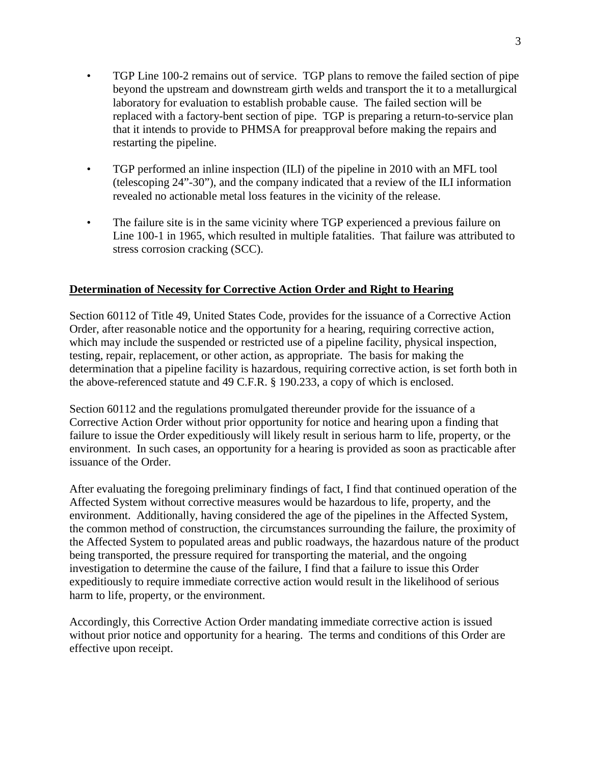- TGP Line 100-2 remains out of service. TGP plans to remove the failed section of pipe beyond the upstream and downstream girth welds and transport the it to a metallurgical laboratory for evaluation to establish probable cause. The failed section will be replaced with a factory-bent section of pipe. TGP is preparing a return-to-service plan that it intends to provide to PHMSA for preapproval before making the repairs and restarting the pipeline.
- TGP performed an inline inspection (ILI) of the pipeline in 2010 with an MFL tool (telescoping 24"-30"), and the company indicated that a review of the ILI information revealed no actionable metal loss features in the vicinity of the release.
- The failure site is in the same vicinity where TGP experienced a previous failure on Line 100-1 in 1965, which resulted in multiple fatalities. That failure was attributed to stress corrosion cracking (SCC).

## **Determination of Necessity for Corrective Action Order and Right to Hearing**

Section 60112 of Title 49, United States Code, provides for the issuance of a Corrective Action Order, after reasonable notice and the opportunity for a hearing, requiring corrective action, which may include the suspended or restricted use of a pipeline facility, physical inspection, testing, repair, replacement, or other action, as appropriate. The basis for making the determination that a pipeline facility is hazardous, requiring corrective action, is set forth both in the above-referenced statute and 49 C.F.R. § 190.233, a copy of which is enclosed.

Section 60112 and the regulations promulgated thereunder provide for the issuance of a Corrective Action Order without prior opportunity for notice and hearing upon a finding that failure to issue the Order expeditiously will likely result in serious harm to life, property, or the environment. In such cases, an opportunity for a hearing is provided as soon as practicable after issuance of the Order.

After evaluating the foregoing preliminary findings of fact, I find that continued operation of the Affected System without corrective measures would be hazardous to life, property, and the environment. Additionally, having considered the age of the pipelines in the Affected System, the common method of construction, the circumstances surrounding the failure, the proximity of the Affected System to populated areas and public roadways, the hazardous nature of the product being transported, the pressure required for transporting the material, and the ongoing investigation to determine the cause of the failure, I find that a failure to issue this Order expeditiously to require immediate corrective action would result in the likelihood of serious harm to life, property, or the environment.

Accordingly, this Corrective Action Order mandating immediate corrective action is issued without prior notice and opportunity for a hearing. The terms and conditions of this Order are effective upon receipt.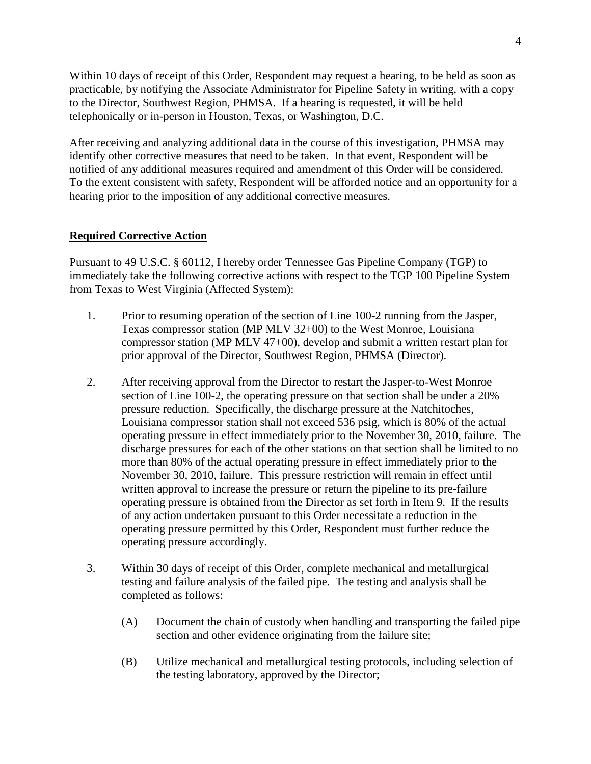Within 10 days of receipt of this Order, Respondent may request a hearing, to be held as soon as practicable, by notifying the Associate Administrator for Pipeline Safety in writing, with a copy to the Director, Southwest Region, PHMSA. If a hearing is requested, it will be held telephonically or in-person in Houston, Texas, or Washington, D.C.

After receiving and analyzing additional data in the course of this investigation, PHMSA may identify other corrective measures that need to be taken. In that event, Respondent will be notified of any additional measures required and amendment of this Order will be considered. To the extent consistent with safety, Respondent will be afforded notice and an opportunity for a hearing prior to the imposition of any additional corrective measures.

## **Required Corrective Action**

Pursuant to 49 U.S.C. § 60112, I hereby order Tennessee Gas Pipeline Company (TGP) to immediately take the following corrective actions with respect to the TGP 100 Pipeline System from Texas to West Virginia (Affected System):

- 1. Prior to resuming operation of the section of Line 100-2 running from the Jasper, Texas compressor station (MP MLV 32+00) to the West Monroe, Louisiana compressor station (MP MLV 47+00), develop and submit a written restart plan for prior approval of the Director, Southwest Region, PHMSA (Director).
- 2. After receiving approval from the Director to restart the Jasper-to-West Monroe section of Line 100-2, the operating pressure on that section shall be under a 20% pressure reduction. Specifically, the discharge pressure at the Natchitoches, Louisiana compressor station shall not exceed 536 psig, which is 80% of the actual operating pressure in effect immediately prior to the November 30, 2010, failure. The discharge pressures for each of the other stations on that section shall be limited to no more than 80% of the actual operating pressure in effect immediately prior to the November 30, 2010, failure. This pressure restriction will remain in effect until written approval to increase the pressure or return the pipeline to its pre-failure operating pressure is obtained from the Director as set forth in Item 9. If the results of any action undertaken pursuant to this Order necessitate a reduction in the operating pressure permitted by this Order, Respondent must further reduce the operating pressure accordingly.
- 3. Within 30 days of receipt of this Order, complete mechanical and metallurgical testing and failure analysis of the failed pipe. The testing and analysis shall be completed as follows:
	- (A) Document the chain of custody when handling and transporting the failed pipe section and other evidence originating from the failure site;
	- (B) Utilize mechanical and metallurgical testing protocols, including selection of the testing laboratory, approved by the Director;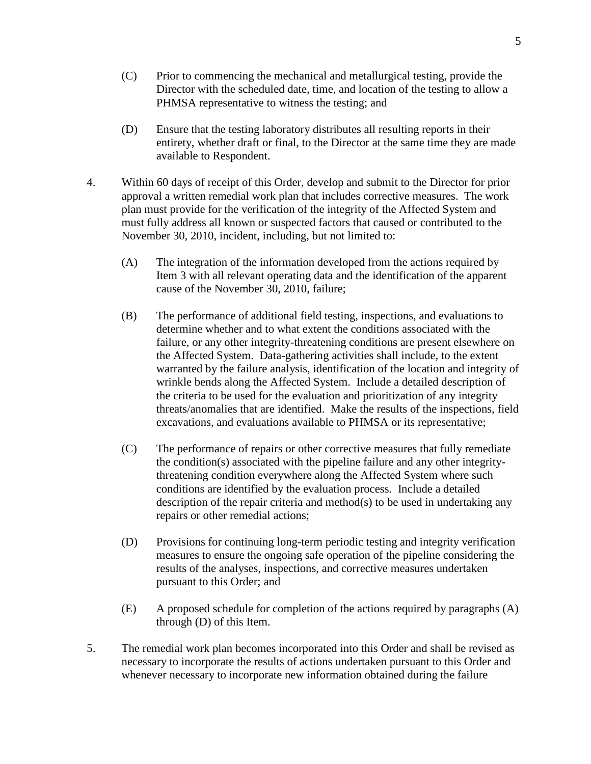- (C) Prior to commencing the mechanical and metallurgical testing, provide the Director with the scheduled date, time, and location of the testing to allow a PHMSA representative to witness the testing; and
- (D) Ensure that the testing laboratory distributes all resulting reports in their entirety, whether draft or final, to the Director at the same time they are made available to Respondent.
- 4. Within 60 days of receipt of this Order, develop and submit to the Director for prior approval a written remedial work plan that includes corrective measures. The work plan must provide for the verification of the integrity of the Affected System and must fully address all known or suspected factors that caused or contributed to the November 30, 2010, incident, including, but not limited to:
	- (A) The integration of the information developed from the actions required by Item 3 with all relevant operating data and the identification of the apparent cause of the November 30, 2010, failure;
	- (B) The performance of additional field testing, inspections, and evaluations to determine whether and to what extent the conditions associated with the failure, or any other integrity-threatening conditions are present elsewhere on the Affected System. Data-gathering activities shall include, to the extent warranted by the failure analysis, identification of the location and integrity of wrinkle bends along the Affected System. Include a detailed description of the criteria to be used for the evaluation and prioritization of any integrity threats/anomalies that are identified. Make the results of the inspections, field excavations, and evaluations available to PHMSA or its representative;
	- (C) The performance of repairs or other corrective measures that fully remediate the condition(s) associated with the pipeline failure and any other integritythreatening condition everywhere along the Affected System where such conditions are identified by the evaluation process. Include a detailed description of the repair criteria and method(s) to be used in undertaking any repairs or other remedial actions;
	- (D) Provisions for continuing long-term periodic testing and integrity verification measures to ensure the ongoing safe operation of the pipeline considering the results of the analyses, inspections, and corrective measures undertaken pursuant to this Order; and
	- (E) A proposed schedule for completion of the actions required by paragraphs (A) through (D) of this Item.
- 5. The remedial work plan becomes incorporated into this Order and shall be revised as necessary to incorporate the results of actions undertaken pursuant to this Order and whenever necessary to incorporate new information obtained during the failure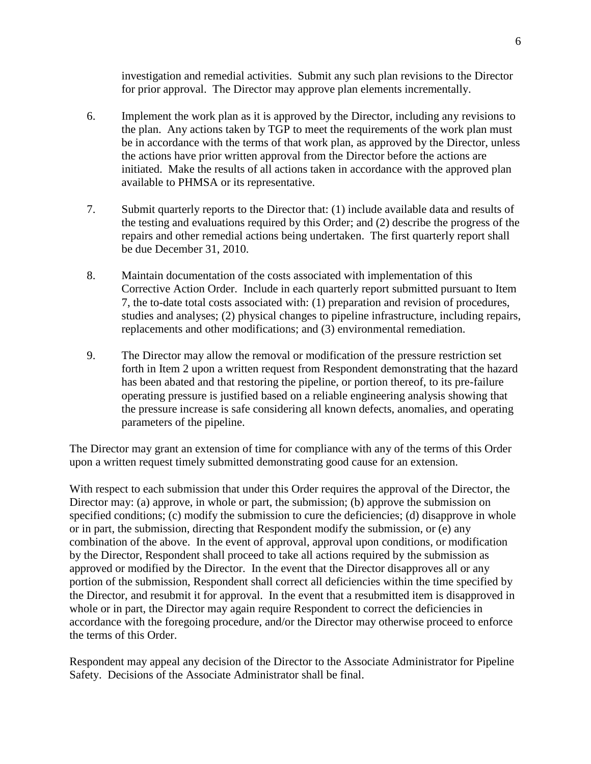investigation and remedial activities. Submit any such plan revisions to the Director for prior approval. The Director may approve plan elements incrementally.

- 6. Implement the work plan as it is approved by the Director, including any revisions to the plan. Any actions taken by TGP to meet the requirements of the work plan must be in accordance with the terms of that work plan, as approved by the Director, unless the actions have prior written approval from the Director before the actions are initiated. Make the results of all actions taken in accordance with the approved plan available to PHMSA or its representative.
- 7. Submit quarterly reports to the Director that: (1) include available data and results of the testing and evaluations required by this Order; and (2) describe the progress of the repairs and other remedial actions being undertaken. The first quarterly report shall be due December 31, 2010.
- 8. Maintain documentation of the costs associated with implementation of this Corrective Action Order. Include in each quarterly report submitted pursuant to Item 7, the to-date total costs associated with: (1) preparation and revision of procedures, studies and analyses; (2) physical changes to pipeline infrastructure, including repairs, replacements and other modifications; and (3) environmental remediation.
- 9. The Director may allow the removal or modification of the pressure restriction set forth in Item 2 upon a written request from Respondent demonstrating that the hazard has been abated and that restoring the pipeline, or portion thereof, to its pre-failure operating pressure is justified based on a reliable engineering analysis showing that the pressure increase is safe considering all known defects, anomalies, and operating parameters of the pipeline.

The Director may grant an extension of time for compliance with any of the terms of this Order upon a written request timely submitted demonstrating good cause for an extension.

With respect to each submission that under this Order requires the approval of the Director, the Director may: (a) approve, in whole or part, the submission; (b) approve the submission on specified conditions; (c) modify the submission to cure the deficiencies; (d) disapprove in whole or in part, the submission, directing that Respondent modify the submission, or (e) any combination of the above. In the event of approval, approval upon conditions, or modification by the Director, Respondent shall proceed to take all actions required by the submission as approved or modified by the Director. In the event that the Director disapproves all or any portion of the submission, Respondent shall correct all deficiencies within the time specified by the Director, and resubmit it for approval. In the event that a resubmitted item is disapproved in whole or in part, the Director may again require Respondent to correct the deficiencies in accordance with the foregoing procedure, and/or the Director may otherwise proceed to enforce the terms of this Order.

Respondent may appeal any decision of the Director to the Associate Administrator for Pipeline Safety. Decisions of the Associate Administrator shall be final.